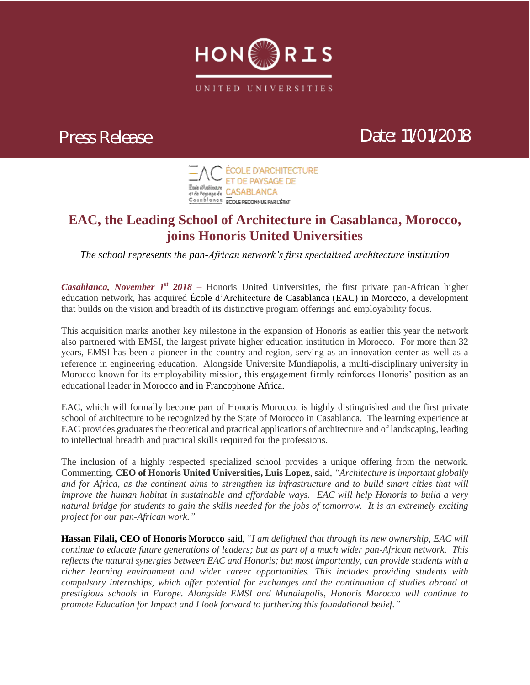

## *Press Release Date: 11/01/2018*



## **EAC, the Leading School of Architecture in Casablanca, Morocco, joins Honoris United Universities**

*The school represents the pan-African network's first specialised architecture institution*

*Casablanca, November 1st 2018 –* Honoris United Universities, the first private pan-African higher education network, has acquired École d'Architecture de Casablanca (EAC) in Morocco, a development that builds on the vision and breadth of its distinctive program offerings and employability focus.

This acquisition marks another key milestone in the expansion of Honoris as earlier this year the network also partnered with EMSI, the largest private higher education institution in Morocco. For more than 32 years, EMSI has been a pioneer in the country and region, serving as an innovation center as well as a reference in engineering education. Alongside Universite Mundiapolis, a multi-disciplinary university in Morocco known for its employability mission, this engagement firmly reinforces Honoris' position as an educational leader in Morocco and in Francophone Africa.

EAC, which will formally become part of Honoris Morocco, is highly distinguished and the first private school of architecture to be recognized by the State of Morocco in Casablanca. The learning experience at EAC provides graduates the theoretical and practical applications of architecture and of landscaping, leading to intellectual breadth and practical skills required for the professions.

The inclusion of a highly respected specialized school provides a unique offering from the network. Commenting, **CEO of Honoris United Universities, Luis Lopez**, said, *"Architecture is important globally and for Africa, as the continent aims to strengthen its infrastructure and to build smart cities that will improve the human habitat in sustainable and affordable ways. EAC will help Honoris to build a very natural bridge for students to gain the skills needed for the jobs of tomorrow. It is an extremely exciting project for our pan-African work."*

**Hassan Filali, CEO of Honoris Morocco** said, "*I am delighted that through its new ownership, EAC will continue to educate future generations of leaders; but as part of a much wider pan-African network. This reflects the natural synergies between EAC and Honoris; but most importantly, can provide students with a richer learning environment and wider career opportunities. This includes providing students with compulsory internships, which offer potential for exchanges and the continuation of studies abroad at prestigious schools in Europe. Alongside EMSI and Mundiapolis, Honoris Morocco will continue to promote Education for Impact and I look forward to furthering this foundational belief."*